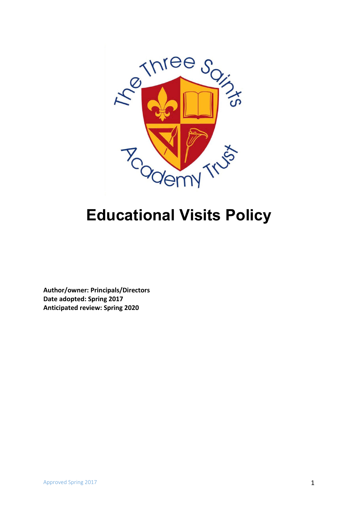

# **Educational Visits Policy**

**Author/owner: Principals/Directors Date adopted: Spring 2017 Anticipated review: Spring 2020**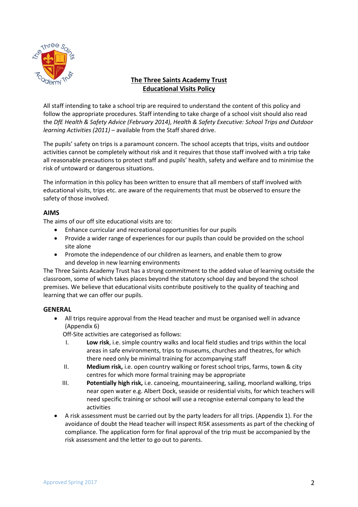

#### **The Three Saints Academy Trust Educational Visits Policy**

All staff intending to take a school trip are required to understand the content of this policy and follow the appropriate procedures. Staff intending to take charge of a school visit should also read the *DfE Health & Safety Advice (February 2014), Health & Safety Executive: School Trips and Outdoor learning Activities (2011)* – available from the Staff shared drive.

The pupils' safety on trips is a paramount concern. The school accepts that trips, visits and outdoor activities cannot be completely without risk and it requires that those staff involved with a trip take all reasonable precautions to protect staff and pupils' health, safety and welfare and to minimise the risk of untoward or dangerous situations.

The information in this policy has been written to ensure that all members of staff involved with educational visits, trips etc. are aware of the requirements that must be observed to ensure the safety of those involved.

#### **AIMS**

The aims of our off site educational visits are to:

- Enhance curricular and recreational opportunities for our pupils
- Provide a wider range of experiences for our pupils than could be provided on the school site alone
- Promote the independence of our children as learners, and enable them to grow and develop in new learning environments

The Three Saints Academy Trust has a strong commitment to the added value of learning outside the classroom, some of which takes places beyond the statutory school day and beyond the school premises. We believe that educational visits contribute positively to the quality of teaching and learning that we can offer our pupils.

#### **GENERAL**

• All trips require approval from the Head teacher and must be organised well in advance (Appendix 6)

Off-Site activities are categorised as follows:

- I. **Low risk**, i.e. simple country walks and local field studies and trips within the local areas in safe environments, trips to museums, churches and theatres, for which there need only be minimal training for accompanying staff
- II. **Medium risk,** i.e. open country walking or forest school trips, farms, town & city centres for which more formal training may be appropriate
- III. **Potentially high risk,** i.e. canoeing, mountaineering, sailing, moorland walking, trips near open water e.g. Albert Dock, seaside or residential visits, for which teachers will need specific training or school will use a recognise external company to lead the activities
- A risk assessment must be carried out by the party leaders for all trips. (Appendix 1). For the avoidance of doubt the Head teacher will inspect RISK assessments as part of the checking of compliance. The application form for final approval of the trip must be accompanied by the risk assessment and the letter to go out to parents.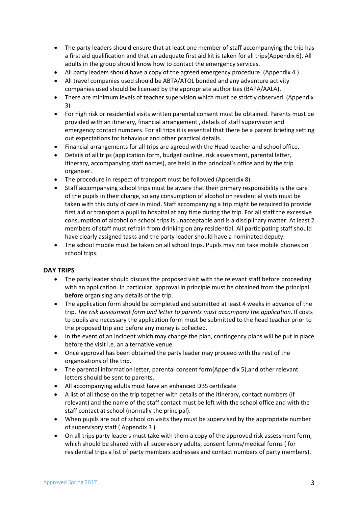- The party leaders should ensure that at least one member of staff accompanying the trip has a first aid qualification and that an adequate first aid kit is taken for all trips(Appendix 6). All adults in the group should know how to contact the emergency services.
- All party leaders should have a copy of the agreed emergency procedure. (Appendix 4)
- All travel companies used should be ABTA/ATOL bonded and any adventure activity companies used should be licensed by the appropriate authorities (BAPA/AALA).
- There are minimum levels of teacher supervision which must be strictly observed. (Appendix 3)
- For high risk or residential visits written parental consent must be obtained. Parents must be provided with an itinerary, financial arrangement , details of staff supervision and emergency contact numbers. For all trips it is essential that there be a parent briefing setting out expectations for behaviour and other practical details.
- Financial arrangements for all trips are agreed with the Head teacher and school office.
- Details of all trips (application form, budget outline, risk assessment, parental letter, itinerary, accompanying staff names), are held in the principal's office and by the trip organiser.
- The procedure in respect of transport must be followed (Appendix 8).
- Staff accompanying school trips must be aware that their primary responsibility is the care of the pupils in their charge, so any consumption of alcohol on residential visits must be taken with this duty of care in mind. Staff accompanying a trip might be required to provide first aid or transport a pupil to hospital at any time during the trip. For all staff the excessive consumption of alcohol on school trips is unacceptable and is a disciplinary matter. At least 2 members of staff must refrain from drinking on any residential. All participating staff should have clearly assigned tasks and the party leader should have a nominated deputy.
- The school mobile must be taken on all school trips. Pupils may not take mobile phones on school trips.

#### **DAY TRIPS**

- The party leader should discuss the proposed visit with the relevant staff before proceeding with an application. In particular, approval in principle must be obtained from the principal **before** organising any details of the trip.
- The application form should be completed and submitted at least 4 weeks in advance of the trip. *The risk assessment form and letter to parents must accompany the application*. If costs to pupils are necessary the application form must be submitted to the head teacher prior to the proposed trip and before any money is collected.
- In the event of an incident which may change the plan, contingency plans will be put in place before the visit i.e. an alternative venue.
- Once approval has been obtained the party leader may proceed with the rest of the organisations of the trip.
- The parental information letter, parental consent form(Appendix 5),and other relevant letters should be sent to parents.
- All accompanying adults must have an enhanced DBS certificate
- A list of all those on the trip together with details of the itinerary, contact numbers (if relevant) and the name of the staff contact must be left with the school office and with the staff contact at school (normally the principal).
- When pupils are out of school on visits they must be supervised by the appropriate number of supervisory staff ( Appendix 3 )
- On all trips party leaders must take with them a copy of the approved risk assessment form, which should be shared with all supervisory adults, consent forms/medical forms ( for residential trips a list of party members addresses and contact numbers of party members).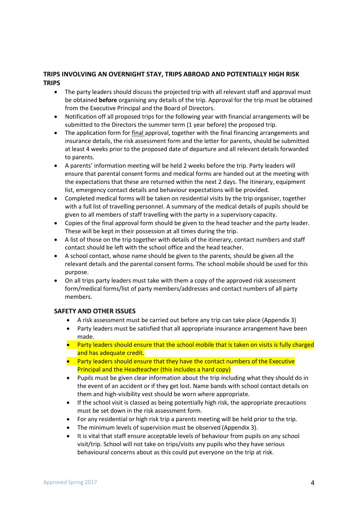#### **TRIPS INVOLVING AN OVERNIGHT STAY, TRIPS ABROAD AND POTENTIALLY HIGH RISK TRIPS**

- The party leaders should discuss the projected trip with all relevant staff and approval must be obtained **before** organising any details of the trip. Approval for the trip must be obtained from the Executive Principal and the Board of Directors.
- Notification off all proposed trips for the following year with financial arrangements will be submitted to the Directors the summer term (1 year before) the proposed trip.
- The application form for final approval, together with the final financing arrangements and insurance details, the risk assessment form and the letter for parents, should be submitted at least 4 weeks prior to the proposed date of departure and all relevant details forwarded to parents.
- A parents' information meeting will be held 2 weeks before the trip. Party leaders will ensure that parental consent forms and medical forms are handed out at the meeting with the expectations that these are returned within the next 2 days. The itinerary, equipment list, emergency contact details and behaviour expectations will be provided.
- Completed medical forms will be taken on residential visits by the trip organiser, together with a full list of travelling personnel. A summary of the medical details of pupils should be given to all members of staff travelling with the party in a supervisory capacity.
- Copies of the final approval form should be given to the head teacher and the party leader. These will be kept in their possession at all times during the trip.
- A list of those on the trip together with details of the itinerary, contact numbers and staff contact should be left with the school office and the head teacher.
- A school contact, whose name should be given to the parents, should be given all the relevant details and the parental consent forms. The school mobile should be used for this purpose.
- On all trips party leaders must take with them a copy of the approved risk assessment form/medical forms/list of party members/addresses and contact numbers of all party members.

#### **SAFETY AND OTHER ISSUES**

- A risk assessment must be carried out before any trip can take place (Appendix 3)
- Party leaders must be satisfied that all appropriate insurance arrangement have been made.
- Party leaders should ensure that the school mobile that is taken on visits is fully charged and has adequate credit.
- Party leaders should ensure that they have the contact numbers of the Executive Principal and the Headteacher (this includes a hard copy)
- Pupils must be given clear information about the trip including what they should do in the event of an accident or if they get lost. Name bands with school contact details on them and high-visibility vest should be worn where appropriate.
- If the school visit is classed as being potentially high risk, the appropriate precautions must be set down in the risk assessment form.
- For any residential or high risk trip a parents meeting will be held prior to the trip.
- The minimum levels of supervision must be observed (Appendix 3).
- It is vital that staff ensure acceptable levels of behaviour from pupils on any school visit/trip. School will not take on trips/visits any pupils who they have serious behavioural concerns about as this could put everyone on the trip at risk.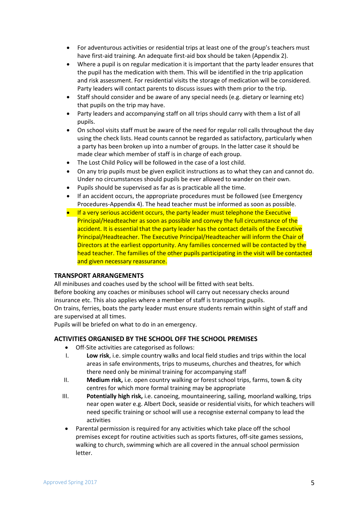- For adventurous activities or residential trips at least one of the group's teachers must have first-aid training. An adequate first-aid box should be taken (Appendix 2).
- Where a pupil is on regular medication it is important that the party leader ensures that the pupil has the medication with them. This will be identified in the trip application and risk assessment. For residential visits the storage of medication will be considered. Party leaders will contact parents to discuss issues with them prior to the trip.
- Staff should consider and be aware of any special needs (e.g. dietary or learning etc) that pupils on the trip may have.
- Party leaders and accompanying staff on all trips should carry with them a list of all pupils.
- On school visits staff must be aware of the need for regular roll calls throughout the day using the check lists. Head counts cannot be regarded as satisfactory, particularly when a party has been broken up into a number of groups. In the latter case it should be made clear which member of staff is in charge of each group.
- The Lost Child Policy will be followed in the case of a lost child.
- On any trip pupils must be given explicit instructions as to what they can and cannot do. Under no circumstances should pupils be ever allowed to wander on their own.
- Pupils should be supervised as far as is practicable all the time.
- If an accident occurs, the appropriate procedures must be followed (see Emergency Procedures-Appendix 4). The head teacher must be informed as soon as possible.
- If a very serious accident occurs, the party leader must telephone the Executive Principal/Headteacher as soon as possible and convey the full circumstance of the accident. It is essential that the party leader has the contact details of the Executive Principal/Headteacher. The Executive Principal/Headteacher will inform the Chair of Directors at the earliest opportunity. Any families concerned will be contacted by the head teacher. The families of the other pupils participating in the visit will be contacted and given necessary reassurance.

#### **TRANSPORT ARRANGEMENTS**

All minibuses and coaches used by the school will be fitted with seat belts. Before booking any coaches or minibuses school will carry out necessary checks around insurance etc. This also applies where a member of staff is transporting pupils. On trains, ferries, boats the party leader must ensure students remain within sight of staff and are supervised at all times.

Pupils will be briefed on what to do in an emergency.

#### **ACTIVITIES ORGANISED BY THE SCHOOL OFF THE SCHOOL PREMISES**

- Off-Site activities are categorised as follows:
- I. **Low risk**, i.e. simple country walks and local field studies and trips within the local areas in safe environments, trips to museums, churches and theatres, for which there need only be minimal training for accompanying staff
- II. **Medium risk,** i.e. open country walking or forest school trips, farms, town & city centres for which more formal training may be appropriate
- III. **Potentially high risk,** i.e. canoeing, mountaineering, sailing, moorland walking, trips near open water e.g. Albert Dock, seaside or residential visits, for which teachers will need specific training or school will use a recognise external company to lead the activities
- Parental permission is required for any activities which take place off the school premises except for routine activities such as sports fixtures, off-site games sessions, walking to church, swimming which are all covered in the annual school permission letter.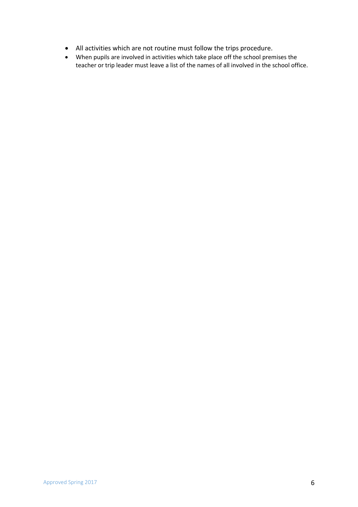- All activities which are not routine must follow the trips procedure.
- When pupils are involved in activities which take place off the school premises the teacher or trip leader must leave a list of the names of all involved in the school office.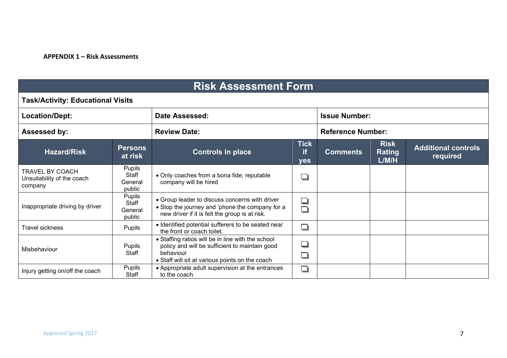#### **APPENDIX 1 – Risk Assessments**

## **Risk Assessment Form**

#### **Task/Activity: Educational Visits**

| Location/Dept:                                                  |                                      | Date Assessed:                                                                                                                                                      | <b>Issue Number:</b>            |                 |                                |                                        |  |
|-----------------------------------------------------------------|--------------------------------------|---------------------------------------------------------------------------------------------------------------------------------------------------------------------|---------------------------------|-----------------|--------------------------------|----------------------------------------|--|
| <b>Assessed by:</b>                                             |                                      | <b>Review Date:</b>                                                                                                                                                 | <b>Reference Number:</b>        |                 |                                |                                        |  |
| <b>Hazard/Risk</b>                                              | <b>Persons</b><br>at risk            | <b>Controls in place</b>                                                                                                                                            | <b>Tick</b><br>if<br><b>yes</b> | <b>Comments</b> | <b>Risk</b><br>Rating<br>L/M/H | <b>Additional controls</b><br>required |  |
| <b>TRAVEL BY COACH</b><br>Unsuitability of the coach<br>company | Pupils<br>Staff<br>General<br>public | • Only coaches from a bona fide, reputable<br>company will be hired                                                                                                 | ⊐                               |                 |                                |                                        |  |
| Inappropriate driving by driver                                 | Pupils<br>Staff<br>General<br>public | • Group leader to discuss concerns with driver<br>• Stop the journey and 'phone the company for a<br>new driver if it is felt the group is at risk.                 | ❏<br>$\Box$                     |                 |                                |                                        |  |
| Travel sickness                                                 | Pupils                               | · Identified potential sufferers to be seated near<br>the front or coach toilet.                                                                                    | ⊒                               |                 |                                |                                        |  |
| Misbehaviour                                                    | <b>Pupils</b><br>Staff               | • Staffing ratios will be in line with the school<br>policy and will be sufficient to maintain good<br>behaviour<br>• Staff will sit at various points on the coach | $\overline{\phantom{0}}$        |                 |                                |                                        |  |
| Injury getting on/off the coach                                 | Pupils<br>Staff                      | • Appropriate adult supervision at the entrances<br>to the coach                                                                                                    | ⊐                               |                 |                                |                                        |  |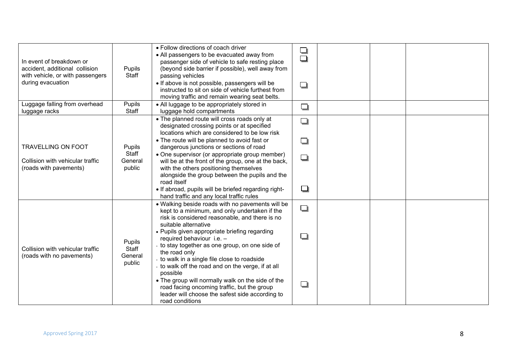| In event of breakdown or<br>accident, additional collision<br>with vehicle, or with passengers<br>during evacuation | Pupils<br>Staff            | • Follow directions of coach driver<br>• All passengers to be evacuated away from<br>passenger side of vehicle to safe resting place<br>(beyond side barrier if possible), well away from<br>passing vehicles<br>• If above is not possible, passengers will be<br>instructed to sit on side of vehicle furthest from<br>moving traffic and remain wearing seat belts. | ┧<br>❏ |  |  |
|---------------------------------------------------------------------------------------------------------------------|----------------------------|------------------------------------------------------------------------------------------------------------------------------------------------------------------------------------------------------------------------------------------------------------------------------------------------------------------------------------------------------------------------|--------|--|--|
| Luggage falling from overhead<br>luggage racks                                                                      | Pupils<br>Staff            | • All luggage to be appropriately stored in<br>luggage hold compartments                                                                                                                                                                                                                                                                                               | ❏      |  |  |
|                                                                                                                     |                            | • The planned route will cross roads only at<br>designated crossing points or at specified<br>locations which are considered to be low risk                                                                                                                                                                                                                            | ❏      |  |  |
| <b>TRAVELLING ON FOOT</b>                                                                                           | Pupils                     | • The route will be planned to avoid fast or<br>dangerous junctions or sections of road                                                                                                                                                                                                                                                                                | ❏      |  |  |
| Collision with vehicular traffic<br>(roads with pavements)                                                          | Staff<br>General<br>public | • One supervisor (or appropriate group member)<br>will be at the front of the group, one at the back,<br>with the others positioning themselves<br>alongside the group between the pupils and the<br>road itself                                                                                                                                                       | ❏      |  |  |
|                                                                                                                     |                            | • If abroad, pupils will be briefed regarding right-<br>hand traffic and any local traffic rules                                                                                                                                                                                                                                                                       | $\Box$ |  |  |
|                                                                                                                     |                            | • Walking beside roads with no pavements will be<br>kept to a minimum, and only undertaken if the<br>risk is considered reasonable, and there is no<br>suitable alternative                                                                                                                                                                                            | ❏      |  |  |
| Collision with vehicular traffic<br>(roads with no pavements)                                                       | Pupils<br>Staff<br>General | • Pupils given appropriate briefing regarding<br>required behaviour i.e. -<br>- to stay together as one group, on one side of<br>the road only<br>- to walk in a single file close to roadside                                                                                                                                                                         | ❏      |  |  |
|                                                                                                                     | public                     | - to walk off the road and on the verge, if at all<br>possible<br>• The group will normally walk on the side of the<br>road facing oncoming traffic, but the group<br>leader will choose the safest side according to<br>road conditions                                                                                                                               | ❏      |  |  |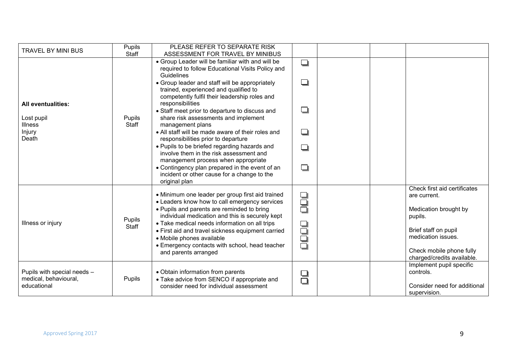| <b>TRAVEL BY MINI BUS</b>                                 | Pupils<br>Staff | PLEASE REFER TO SEPARATE RISK<br>ASSESSMENT FOR TRAVEL BY MINIBUS                                                                              |              |  |                                                        |
|-----------------------------------------------------------|-----------------|------------------------------------------------------------------------------------------------------------------------------------------------|--------------|--|--------------------------------------------------------|
|                                                           |                 | • Group Leader will be familiar with and will be<br>required to follow Educational Visits Policy and<br>Guidelines                             | ❏            |  |                                                        |
|                                                           |                 | • Group leader and staff will be appropriately<br>trained, experienced and qualified to<br>competently fulfil their leadership roles and       | ❏            |  |                                                        |
| <b>All eventualities:</b><br>Lost pupil<br><b>Illness</b> | Pupils<br>Staff | responsibilities<br>• Staff meet prior to departure to discuss and<br>share risk assessments and implement<br>management plans                 | ❏            |  |                                                        |
| Injury<br>Death                                           |                 | • All staff will be made aware of their roles and<br>responsibilities prior to departure                                                       | ❏            |  |                                                        |
|                                                           |                 | • Pupils to be briefed regarding hazards and<br>involve them in the risk assessment and<br>management process when appropriate                 | □            |  |                                                        |
|                                                           |                 | • Contingency plan prepared in the event of an<br>incident or other cause for a change to the<br>original plan                                 | □            |  |                                                        |
|                                                           |                 | • Minimum one leader per group first aid trained<br>• Leaders know how to call emergency services                                              | 9<br>9       |  | Check first aid certificates<br>are current.           |
| Illness or injury                                         | Pupils          | • Pupils and parents are reminded to bring<br>individual medication and this is securely kept<br>• Take medical needs information on all trips |              |  | Medication brought by<br>pupils.                       |
|                                                           | Staff           | • First aid and travel sickness equipment carried<br>• Mobile phones available                                                                 | adad<br>Baba |  | Brief staff on pupil<br>medication issues.             |
|                                                           |                 | • Emergency contacts with school, head teacher<br>and parents arranged                                                                         |              |  | Check mobile phone fully<br>charged/credits available. |
| Pupils with special needs -<br>medical, behavioural,      | Pupils          | • Obtain information from parents<br>• Take advice from SENCO if appropriate and                                                               | ۲            |  | Implement pupil specific<br>controls.                  |
| educational                                               |                 | consider need for individual assessment                                                                                                        |              |  | Consider need for additional<br>supervision.           |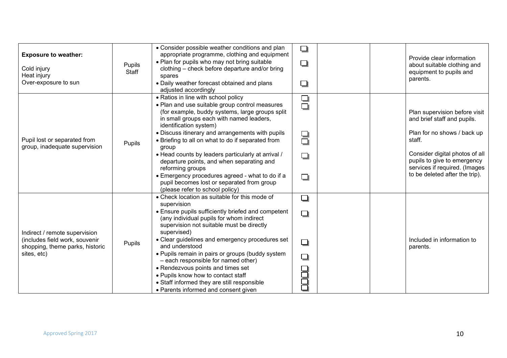| <b>Exposure to weather:</b><br>Cold injury<br>Heat injury<br>Over-exposure to sun                                 | <b>Pupils</b><br>Staff | • Consider possible weather conditions and plan<br>appropriate programme, clothing and equipment<br>• Plan for pupils who may not bring suitable<br>clothing - check before departure and/or bring<br>spares<br>• Daily weather forecast obtained and plans<br>adjusted accordingly                                                                                                                                                                                                                                                                                                         | $\Box$<br>❏<br>❏                |  | Provide clear information<br>about suitable clothing and<br>equipment to pupils and<br>parents.                                                                                                                                           |
|-------------------------------------------------------------------------------------------------------------------|------------------------|---------------------------------------------------------------------------------------------------------------------------------------------------------------------------------------------------------------------------------------------------------------------------------------------------------------------------------------------------------------------------------------------------------------------------------------------------------------------------------------------------------------------------------------------------------------------------------------------|---------------------------------|--|-------------------------------------------------------------------------------------------------------------------------------------------------------------------------------------------------------------------------------------------|
| Pupil lost or separated from<br>group, inadequate supervision                                                     | Pupils                 | • Ratios in line with school policy<br>• Plan and use suitable group control measures<br>(for example, buddy systems, large groups split<br>in small groups each with named leaders,<br>identification system)<br>• Discuss itinerary and arrangements with pupils<br>• Briefing to all on what to do if separated from<br>group<br>• Head counts by leaders particularly at arrival /<br>departure points, and when separating and<br>reforming groups<br>• Emergency procedures agreed - what to do if a<br>pupil becomes lost or separated from group<br>(please refer to school policy) | ❏<br>$\Box$<br>9<br>0<br>❏<br>❏ |  | Plan supervision before visit<br>and brief staff and pupils.<br>Plan for no shows / back up<br>staff.<br>Consider digital photos of all<br>pupils to give to emergency<br>services if required. (Images<br>to be deleted after the trip). |
| Indirect / remote supervision<br>(includes field work, souvenir<br>shopping, theme parks, historic<br>sites, etc) | Pupils                 | • Check location as suitable for this mode of<br>supervision<br>• Ensure pupils sufficiently briefed and competent<br>(any individual pupils for whom indirect<br>supervision not suitable must be directly<br>supervised)<br>• Clear guidelines and emergency procedures set<br>and understood<br>• Pupils remain in pairs or groups (buddy system<br>- each responsible for named other)<br>• Rendezvous points and times set<br>• Pupils know how to contact staff<br>• Staff informed they are still responsible<br>• Parents informed and consent given                                | ❏<br>□<br>❏<br>❏<br>ヨコ          |  | Included in information to<br>parents.                                                                                                                                                                                                    |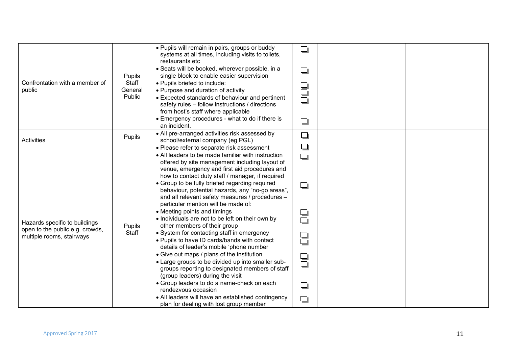| Confrontation with a member of<br>public                                                      | Pupils<br>Staff<br>General<br>Public | . Pupils will remain in pairs, groups or buddy<br>systems at all times, including visits to toilets,<br>restaurants etc<br>· Seats will be booked, wherever possible, in a<br>single block to enable easier supervision<br>• Pupils briefed to include:<br>• Purpose and duration of activity<br>• Expected standards of behaviour and pertinent<br>safety rules - follow instructions / directions<br>from host's staff where applicable<br>• Emergency procedures - what to do if there is<br>an incident.                                                                                                                                                                                                                                                                                                                                                                                                                                                                                                                            | ❏<br>❏<br>8<br>9<br>❏                          |  |  |
|-----------------------------------------------------------------------------------------------|--------------------------------------|-----------------------------------------------------------------------------------------------------------------------------------------------------------------------------------------------------------------------------------------------------------------------------------------------------------------------------------------------------------------------------------------------------------------------------------------------------------------------------------------------------------------------------------------------------------------------------------------------------------------------------------------------------------------------------------------------------------------------------------------------------------------------------------------------------------------------------------------------------------------------------------------------------------------------------------------------------------------------------------------------------------------------------------------|------------------------------------------------|--|--|
| <b>Activities</b>                                                                             | Pupils                               | • All pre-arranged activities risk assessed by<br>school/external company (eg PGL)<br>• Please refer to separate risk assessment                                                                                                                                                                                                                                                                                                                                                                                                                                                                                                                                                                                                                                                                                                                                                                                                                                                                                                        | $\Box$<br>❏                                    |  |  |
| Hazards specific to buildings<br>open to the public e.g. crowds,<br>multiple rooms, stairways | Pupils<br>Staff                      | • All leaders to be made familiar with instruction<br>offered by site management including layout of<br>venue, emergency and first aid procedures and<br>how to contact duty staff / manager, if required<br>• Group to be fully briefed regarding required<br>behaviour, potential hazards, any "no-go areas",<br>and all relevant safety measures / procedures -<br>particular mention will be made of:<br>• Meeting points and timings<br>• Individuals are not to be left on their own by<br>other members of their group<br>• System for contacting staff in emergency<br>• Pupils to have ID cards/bands with contact<br>details of leader's mobile 'phone number<br>• Give out maps / plans of the institution<br>• Large groups to be divided up into smaller sub-<br>groups reporting to designated members of staff<br>(group leaders) during the visit<br>• Group leaders to do a name-check on each<br>rendezvous occasion<br>• All leaders will have an established contingency<br>plan for dealing with lost group member | ◘<br>❏<br>❏<br>$\Box$<br>8<br>9<br>0<br>❏<br>❏ |  |  |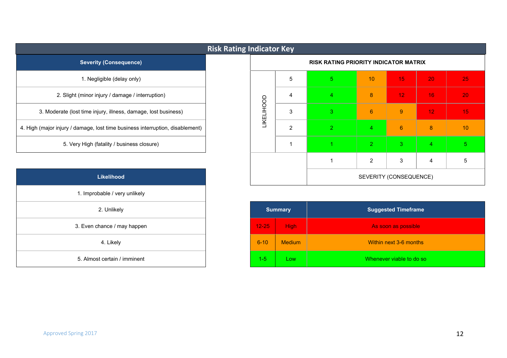|                                                                               | <b>Risk Rating Indicator Key</b> |            |   |                                              |                |                 |    |    |
|-------------------------------------------------------------------------------|----------------------------------|------------|---|----------------------------------------------|----------------|-----------------|----|----|
| <b>Severity (Consequence)</b>                                                 |                                  |            |   | <b>RISK RATING PRIORITY INDICATOR MATRIX</b> |                |                 |    |    |
| 1. Negligible (delay only)                                                    |                                  |            | 5 | 5 <sup>1</sup>                               | 10             | 15 <sub>1</sub> | 20 | 25 |
| 2. Slight (minor injury / damage / interruption)                              |                                  |            | 4 | 4                                            | 8              | 12 <sub>1</sub> | 16 | 20 |
| 3. Moderate (lost time injury, illness, damage, lost business)                |                                  | LIKELIHOOD | 3 | $3^{\circ}$                                  | $6\phantom{1}$ | 9               | 12 | 15 |
| 4. High (major injury / damage, lost time business interruption, disablement) |                                  |            | 2 | $\mathcal{P}$                                | $\overline{4}$ | $6^{\circ}$     | 8  | 10 |
| 5. Very High (fatality / business closure)                                    |                                  |            |   |                                              | $\overline{2}$ | 3               | 4  |    |

| Likelihood                    |
|-------------------------------|
| 1. Improbable / very unlikely |
| 2. Unlikely                   |
| 3. Even chance / may happen   |
| 4. Likely                     |
| 5. Almost certain / imminent  |

| fatality / business closure) |       |                | $\overline{2}$ | 3                          | 4 |  |
|------------------------------|-------|----------------|----------------|----------------------------|---|--|
|                              |       |                | 2              | 3                          | 4 |  |
| Likelihood                   |       |                |                | SEVERITY (CONSEQUENCE)     |   |  |
| bable / very unlikely        |       |                |                |                            |   |  |
| 2. Unlikely                  |       | <b>Summary</b> |                | <b>Suggested Timeframe</b> |   |  |
| hance / may hannen           | 12.25 | High           |                | As soon as possible        |   |  |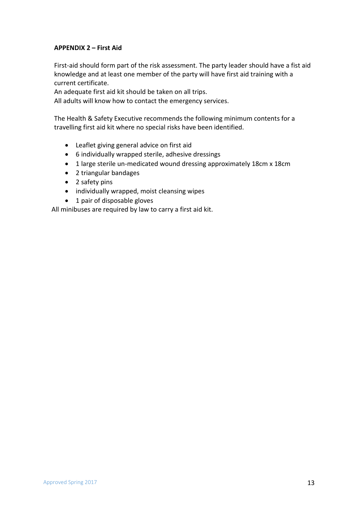#### **APPENDIX 2 – First Aid**

First-aid should form part of the risk assessment. The party leader should have a fist aid knowledge and at least one member of the party will have first aid training with a current certificate.

An adequate first aid kit should be taken on all trips.

All adults will know how to contact the emergency services.

The Health & Safety Executive recommends the following minimum contents for a travelling first aid kit where no special risks have been identified.

- Leaflet giving general advice on first aid
- 6 individually wrapped sterile, adhesive dressings
- 1 large sterile un-medicated wound dressing approximately 18cm x 18cm
- 2 triangular bandages
- 2 safety pins
- individually wrapped, moist cleansing wipes
- 1 pair of disposable gloves

All minibuses are required by law to carry a first aid kit.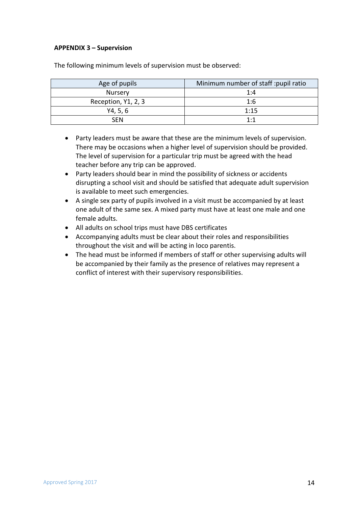#### **APPENDIX 3 – Supervision**

| Age of pupils       | Minimum number of staff : pupil ratio |
|---------------------|---------------------------------------|
| Nursery             | 1:4                                   |
| Reception, Y1, 2, 3 | 1:6                                   |
| Y4, 5, 6            | 1:15                                  |
| <b>SFN</b>          | $1 \cdot 1$                           |

The following minimum levels of supervision must be observed:

- Party leaders must be aware that these are the minimum levels of supervision. There may be occasions when a higher level of supervision should be provided. The level of supervision for a particular trip must be agreed with the head teacher before any trip can be approved.
- Party leaders should bear in mind the possibility of sickness or accidents disrupting a school visit and should be satisfied that adequate adult supervision is available to meet such emergencies.
- A single sex party of pupils involved in a visit must be accompanied by at least one adult of the same sex. A mixed party must have at least one male and one female adults.
- All adults on school trips must have DBS certificates
- Accompanying adults must be clear about their roles and responsibilities throughout the visit and will be acting in loco parentis.
- The head must be informed if members of staff or other supervising adults will be accompanied by their family as the presence of relatives may represent a conflict of interest with their supervisory responsibilities.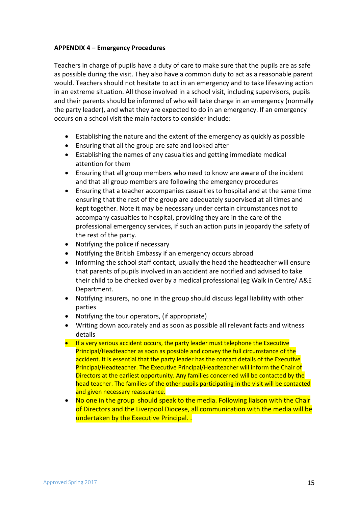#### **APPENDIX 4 – Emergency Procedures**

Teachers in charge of pupils have a duty of care to make sure that the pupils are as safe as possible during the visit. They also have a common duty to act as a reasonable parent would. Teachers should not hesitate to act in an emergency and to take lifesaving action in an extreme situation. All those involved in a school visit, including supervisors, pupils and their parents should be informed of who will take charge in an emergency (normally the party leader), and what they are expected to do in an emergency. If an emergency occurs on a school visit the main factors to consider include:

- Establishing the nature and the extent of the emergency as quickly as possible
- Ensuring that all the group are safe and looked after
- Establishing the names of any casualties and getting immediate medical attention for them
- Ensuring that all group members who need to know are aware of the incident and that all group members are following the emergency procedures
- Ensuring that a teacher accompanies casualties to hospital and at the same time ensuring that the rest of the group are adequately supervised at all times and kept together. Note it may be necessary under certain circumstances not to accompany casualties to hospital, providing they are in the care of the professional emergency services, if such an action puts in jeopardy the safety of the rest of the party.
- Notifying the police if necessary
- Notifying the British Embassy if an emergency occurs abroad
- Informing the school staff contact, usually the head the headteacher will ensure that parents of pupils involved in an accident are notified and advised to take their child to be checked over by a medical professional (eg Walk in Centre/ A&E Department.
- Notifying insurers, no one in the group should discuss legal liability with other parties
- Notifying the tour operators, (if appropriate)
- Writing down accurately and as soon as possible all relevant facts and witness details
- If a very serious accident occurs, the party leader must telephone the Executive Principal/Headteacher as soon as possible and convey the full circumstance of the accident. It is essential that the party leader has the contact details of the Executive Principal/Headteacher. The Executive Principal/Headteacher will inform the Chair of Directors at the earliest opportunity. Any families concerned will be contacted by the head teacher. The families of the other pupils participating in the visit will be contacted and given necessary reassurance.
- No one in the group should speak to the media. Following liaison with the Chair of Directors and the Liverpool Diocese, all communication with the media will be undertaken by the Executive Principal. .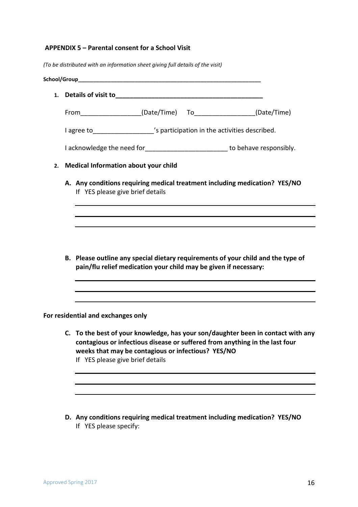#### **APPENDIX 5 – Parental consent for a School Visit**

*(To be distributed with an information sheet giving full details of the visit)*

|    | From (Date/Time) To (Date/Time) (Date/Time)                                                                                                                                                                                                               |
|----|-----------------------------------------------------------------------------------------------------------------------------------------------------------------------------------------------------------------------------------------------------------|
|    | I agree to ___________________'s participation in the activities described.                                                                                                                                                                               |
|    | I acknowledge the need for___________________________ to behave responsibly.                                                                                                                                                                              |
| 2. | <b>Medical Information about your child</b>                                                                                                                                                                                                               |
|    | A. Any conditions requiring medical treatment including medication? YES/NO<br>If YES please give brief details                                                                                                                                            |
|    |                                                                                                                                                                                                                                                           |
|    | B. Please outline any special dietary requirements of your child and the type of<br>pain/flu relief medication your child may be given if necessary:                                                                                                      |
|    | For residential and exchanges only                                                                                                                                                                                                                        |
|    | C. To the best of your knowledge, has your son/daughter been in contact with any<br>contagious or infectious disease or suffered from anything in the last four<br>weeks that may be contagious or infectious? YES/NO<br>If YES please give brief details |

**D. Any conditions requiring medical treatment including medication? YES/NO** If YES please specify: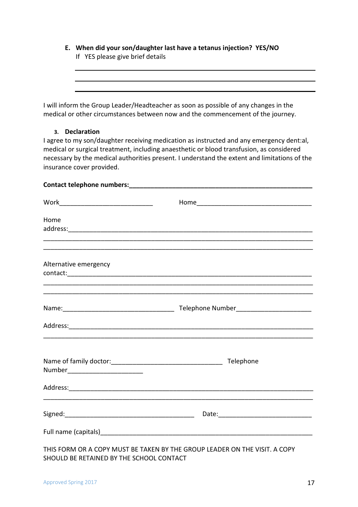| E. When did your son/daughter last have a tetanus injection? YES/NO<br>If YES please give brief details |  |  |  |  |  |  |
|---------------------------------------------------------------------------------------------------------|--|--|--|--|--|--|
|                                                                                                         |  |  |  |  |  |  |
|                                                                                                         |  |  |  |  |  |  |
|                                                                                                         |  |  |  |  |  |  |
|                                                                                                         |  |  |  |  |  |  |
|                                                                                                         |  |  |  |  |  |  |

I will inform the Group Leader/Headteacher as soon as possible of any changes in the medical or other circumstances between now and the commencement of the journey.

#### **3. Declaration**

I agree to my son/daughter receiving medication as instructed and any emergency dent:al, medical or surgical treatment, including anaesthetic or blood transfusion, as considered necessary by the medical authorities present. I understand the extent and limitations of the insurance cover provided.

| Work___________________________________ |                                                                            |
|-----------------------------------------|----------------------------------------------------------------------------|
| Home                                    |                                                                            |
|                                         |                                                                            |
|                                         |                                                                            |
| Alternative emergency                   |                                                                            |
|                                         |                                                                            |
|                                         |                                                                            |
|                                         |                                                                            |
|                                         |                                                                            |
| Number___________________________       |                                                                            |
|                                         |                                                                            |
|                                         |                                                                            |
|                                         |                                                                            |
|                                         | THIS FORM OR A COPY MUST BE TAKEN BY THE GROUP LEADER ON THE VISIT. A COPY |

SHOULD BE RETAINED BY THE SCHOOL CONTACT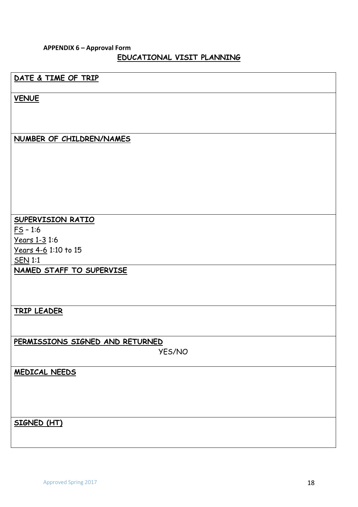#### **APPENDIX 6 – Approval Form EDUCATIONAL VISIT PLANNING**

### **DATE & TIME OF TRIP**

**VENUE**

#### **NUMBER OF CHILDREN/NAMES**

#### **SUPERVISION RATIO**

 $FS - 1:6$ Years 1-3 1:6 Years 4-6 1:10 to 15 SEN 1:1

**NAMED STAFF TO SUPERVISE**

**TRIP LEADER**

**PERMISSIONS SIGNED AND RETURNED**

YES/NO

**MEDICAL NEEDS** 

**SIGNED (HT)**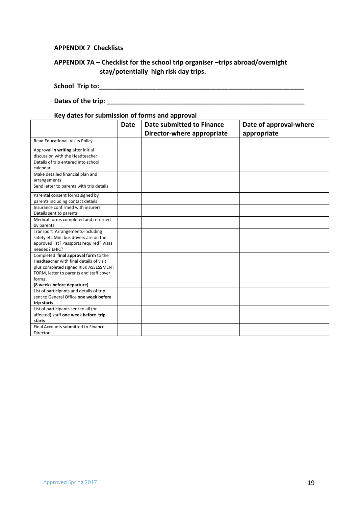#### **APPENDIX 7 Checklists**

#### **APPENDIX 7A – Checklist for the school trip organiser –trips abroad/overnight stay/potentially high risk day trips.**

**School Trip to:\_\_\_\_\_\_\_\_\_\_\_\_\_\_\_\_\_\_\_\_\_\_\_\_\_\_\_\_\_\_\_\_\_\_\_\_\_\_\_\_\_\_\_\_\_\_\_\_\_\_\_\_\_\_\_\_\_**

#### **Dates of the trip: Dates of the trip: Example 2.1 and 2.1 and 2.1 and 2.1 and 2.1 and 2.1 and 2.1 and 2.1 and 2.1 and 2.1 and 2.1 and 2.1 and 2.1 and 2.1 and 2.1 and 2.1 and 2.1 and 2.1 and 2.1 and 2.1 and 2.1 and 2.1**

#### **Key dates for submission of forms and approval**

|                                                                            | <b>Date</b> | <b>Date submitted to Finance</b> | Date of approval-where |
|----------------------------------------------------------------------------|-------------|----------------------------------|------------------------|
|                                                                            |             | Director-where appropriate       | appropriate            |
| Read Educational Visits Policy                                             |             |                                  |                        |
| Approval in writing after initial<br>discussion with the Headteacher.      |             |                                  |                        |
| Details of trip entered into school                                        |             |                                  |                        |
| calendar                                                                   |             |                                  |                        |
| Make detailed financial plan and<br>arrangements                           |             |                                  |                        |
| Send letter to parents with trip details                                   |             |                                  |                        |
| Parental consent forms signed by                                           |             |                                  |                        |
| parents including contact details<br>Insurance confirmed with insurers.    |             |                                  |                        |
| Details sent to parents                                                    |             |                                  |                        |
| Medical forms completed and returned                                       |             |                                  |                        |
| by parents                                                                 |             |                                  |                        |
| Transport Arrangements-including<br>safety etc Mini bus drivers are on the |             |                                  |                        |
| approved list? Passports required? Visas                                   |             |                                  |                        |
| needed? EHIC?                                                              |             |                                  |                        |
| Completed final approval form to the                                       |             |                                  |                        |
| Headteacher with final details of visit                                    |             |                                  |                        |
| plus completed signed RISK ASSESSMENT                                      |             |                                  |                        |
| FORM, letter to parents and staff cover                                    |             |                                  |                        |
| forms,                                                                     |             |                                  |                        |
| (8 weeks before departure)                                                 |             |                                  |                        |
| List of participants and details of trip                                   |             |                                  |                        |
| sent to General Office one week before                                     |             |                                  |                        |
| trip starts                                                                |             |                                  |                        |
| List of participants sent to all (or                                       |             |                                  |                        |
| affected) staff one week before trip                                       |             |                                  |                        |
| starts                                                                     |             |                                  |                        |
| Final Accounts submitted to Finance                                        |             |                                  |                        |
| Director                                                                   |             |                                  |                        |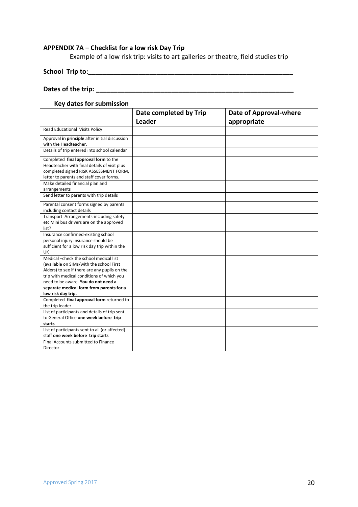#### **APPENDIX 7A – Checklist for a low risk Day Trip**

Example of a low risk trip: visits to art galleries or theatre, field studies trip

**School Trip to:\_\_\_\_\_\_\_\_\_\_\_\_\_\_\_\_\_\_\_\_\_\_\_\_\_\_\_\_\_\_\_\_\_\_\_\_\_\_\_\_\_\_\_\_\_\_\_\_\_\_\_\_\_\_\_\_\_**

#### **Dates of the trip: Dates of the trip: Example 2.1 and 2.1 and 2.1 and 2.1 and 2.1 and 2.1 and 2.1 and 2.1 and 2.1 and 2.1 and 2.1 and 2.1 and 2.1 and 2.1 and 2.1 and 2.1 and 2.1 and 2.1 and 2.1 and 2.1 and 2.1 and 2.1**

#### **Key dates for submission**

|                                                                                                                                                                                                                                                                                            | Date completed by Trip | <b>Date of Approval-where</b> |
|--------------------------------------------------------------------------------------------------------------------------------------------------------------------------------------------------------------------------------------------------------------------------------------------|------------------------|-------------------------------|
|                                                                                                                                                                                                                                                                                            | <b>Leader</b>          | appropriate                   |
| Read Educational Visits Policy                                                                                                                                                                                                                                                             |                        |                               |
| Approval in principle after initial discussion<br>with the Headteacher.                                                                                                                                                                                                                    |                        |                               |
| Details of trip entered into school calendar                                                                                                                                                                                                                                               |                        |                               |
| Completed final approval form to the<br>Headteacher with final details of visit plus<br>completed signed RISK ASSESSMENT FORM,<br>letter to parents and staff cover forms.                                                                                                                 |                        |                               |
| Make detailed financial plan and<br>arrangements                                                                                                                                                                                                                                           |                        |                               |
| Send letter to parents with trip details                                                                                                                                                                                                                                                   |                        |                               |
| Parental consent forms signed by parents<br>including contact details                                                                                                                                                                                                                      |                        |                               |
| Transport Arrangements-including safety<br>etc Mini bus drivers are on the approved<br>list?                                                                                                                                                                                               |                        |                               |
| Insurance confirmed-existing school<br>personal injury insurance should be<br>sufficient for a low risk day trip within the<br>UK                                                                                                                                                          |                        |                               |
| Medical - check the school medical list<br>(available on SIMs/with the school First<br>Aiders) to see if there are any pupils on the<br>trip with medical conditions of which you<br>need to be aware. You do not need a<br>separate medical form from parents for a<br>low risk day trip. |                        |                               |
| Completed final approval form returned to<br>the trip leader                                                                                                                                                                                                                               |                        |                               |
| List of participants and details of trip sent<br>to General Office one week before trip<br>starts                                                                                                                                                                                          |                        |                               |
| List of participants sent to all (or affected)<br>staff one week before trip starts                                                                                                                                                                                                        |                        |                               |
| Final Accounts submitted to Finance<br>Director                                                                                                                                                                                                                                            |                        |                               |